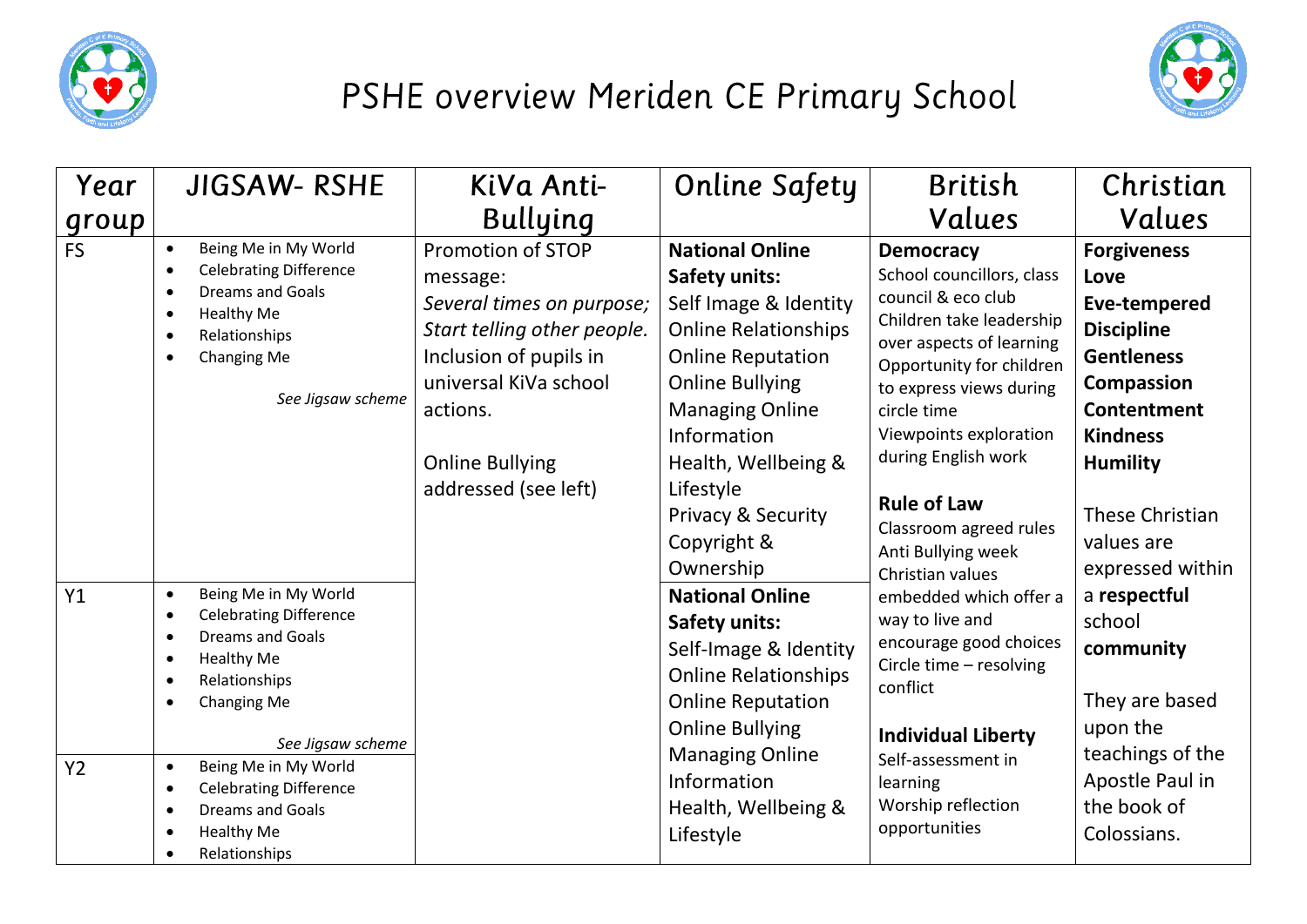

## PSHE overview Meriden CE Primary School



| Year                 | <b>JIGSAW- RSHE</b>                                                                                                                                                                                                                                                                                                                                                | KiVa Anti-                                                                                                                                                                                                        | <b>Online Safety</b>                                                                                                                                                                                                                                                           | <b>British</b>                                                                                                                                                                                                                                                                                                           | Christian                                                                                                                                                                                              |
|----------------------|--------------------------------------------------------------------------------------------------------------------------------------------------------------------------------------------------------------------------------------------------------------------------------------------------------------------------------------------------------------------|-------------------------------------------------------------------------------------------------------------------------------------------------------------------------------------------------------------------|--------------------------------------------------------------------------------------------------------------------------------------------------------------------------------------------------------------------------------------------------------------------------------|--------------------------------------------------------------------------------------------------------------------------------------------------------------------------------------------------------------------------------------------------------------------------------------------------------------------------|--------------------------------------------------------------------------------------------------------------------------------------------------------------------------------------------------------|
| group                |                                                                                                                                                                                                                                                                                                                                                                    | <b>Bullying</b>                                                                                                                                                                                                   |                                                                                                                                                                                                                                                                                | Values                                                                                                                                                                                                                                                                                                                   | Values                                                                                                                                                                                                 |
| <b>FS</b>            | Being Me in My World<br><b>Celebrating Difference</b><br>$\bullet$<br><b>Dreams and Goals</b><br><b>Healthy Me</b><br>$\bullet$<br>Relationships<br>$\bullet$<br>Changing Me<br>See Jigsaw scheme                                                                                                                                                                  | <b>Promotion of STOP</b><br>message:<br>Several times on purpose;<br>Start telling other people.<br>Inclusion of pupils in<br>universal KiVa school<br>actions.<br><b>Online Bullying</b><br>addressed (see left) | <b>National Online</b><br><b>Safety units:</b><br>Self Image & Identity<br><b>Online Relationships</b><br><b>Online Reputation</b><br><b>Online Bullying</b><br><b>Managing Online</b><br>Information<br>Health, Wellbeing &<br>Lifestyle<br>Privacy & Security<br>Copyright & | <b>Democracy</b><br>School councillors, class<br>council & eco club<br>Children take leadership<br>over aspects of learning<br>Opportunity for children<br>to express views during<br>circle time<br>Viewpoints exploration<br>during English work<br><b>Rule of Law</b><br>Classroom agreed rules<br>Anti Bullying week | <b>Forgiveness</b><br>Love<br>Eve-tempered<br><b>Discipline</b><br><b>Gentleness</b><br><b>Compassion</b><br><b>Contentment</b><br><b>Kindness</b><br><b>Humility</b><br>These Christian<br>values are |
| Y1<br>Y <sub>2</sub> | Being Me in My World<br>$\bullet$<br><b>Celebrating Difference</b><br>$\bullet$<br><b>Dreams and Goals</b><br>$\bullet$<br><b>Healthy Me</b><br>$\bullet$<br>Relationships<br>Changing Me<br>See Jigsaw scheme<br>Being Me in My World<br>$\bullet$<br><b>Celebrating Difference</b><br>$\bullet$<br><b>Dreams and Goals</b><br><b>Healthy Me</b><br>Relationships |                                                                                                                                                                                                                   | Ownership<br><b>National Online</b><br><b>Safety units:</b><br>Self-Image & Identity<br><b>Online Relationships</b><br><b>Online Reputation</b><br><b>Online Bullying</b><br><b>Managing Online</b><br>Information<br>Health, Wellbeing &<br>Lifestyle                         | Christian values<br>embedded which offer a<br>way to live and<br>encourage good choices<br>Circle time - resolving<br>conflict<br><b>Individual Liberty</b><br>Self-assessment in<br>learning<br>Worship reflection<br>opportunities                                                                                     | expressed within<br>a respectful<br>school<br>community<br>They are based<br>upon the<br>teachings of the<br>Apostle Paul in<br>the book of<br>Colossians.                                             |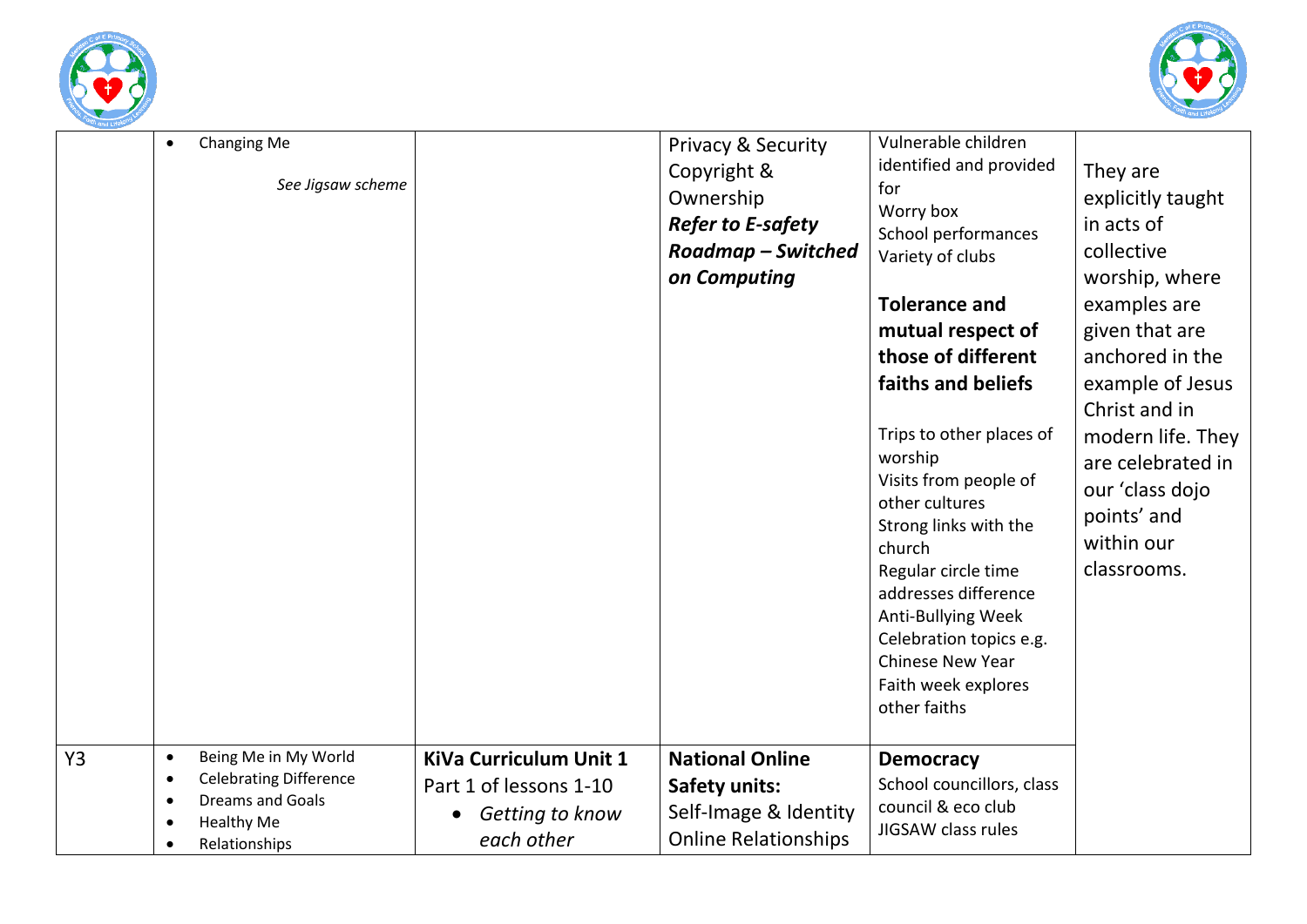



| Changing Me<br>$\bullet$<br>See Jigsaw scheme                                                                                                          |                                                                                   | <b>Privacy &amp; Security</b><br>Copyright &<br>Ownership<br><b>Refer to E-safety</b><br>Roadmap – Switched<br>on Computing | Vulnerable children<br>identified and provided<br>for<br>Worry box<br>School performances<br>Variety of clubs<br><b>Tolerance and</b><br>mutual respect of<br>those of different<br>faiths and beliefs<br>Trips to other places of<br>worship<br>Visits from people of<br>other cultures<br>Strong links with the | They are<br>explicitly taught<br>in acts of<br>collective<br>worship, where<br>examples are<br>given that are<br>anchored in the<br>example of Jesus<br>Christ and in<br>modern life. They<br>are celebrated in<br>our 'class dojo<br>points' and |
|--------------------------------------------------------------------------------------------------------------------------------------------------------|-----------------------------------------------------------------------------------|-----------------------------------------------------------------------------------------------------------------------------|-------------------------------------------------------------------------------------------------------------------------------------------------------------------------------------------------------------------------------------------------------------------------------------------------------------------|---------------------------------------------------------------------------------------------------------------------------------------------------------------------------------------------------------------------------------------------------|
|                                                                                                                                                        |                                                                                   |                                                                                                                             | church<br>Regular circle time<br>addresses difference<br>Anti-Bullying Week<br>Celebration topics e.g.<br><b>Chinese New Year</b><br>Faith week explores<br>other faiths                                                                                                                                          | within our<br>classrooms.                                                                                                                                                                                                                         |
| Y3<br>Being Me in My World<br>$\bullet$<br><b>Celebrating Difference</b><br>$\bullet$<br><b>Dreams and Goals</b><br><b>Healthy Me</b><br>Relationships | KiVa Curriculum Unit 1<br>Part 1 of lessons 1-10<br>Getting to know<br>each other | <b>National Online</b><br><b>Safety units:</b><br>Self-Image & Identity<br><b>Online Relationships</b>                      | <b>Democracy</b><br>School councillors, class<br>council & eco club<br>JIGSAW class rules                                                                                                                                                                                                                         |                                                                                                                                                                                                                                                   |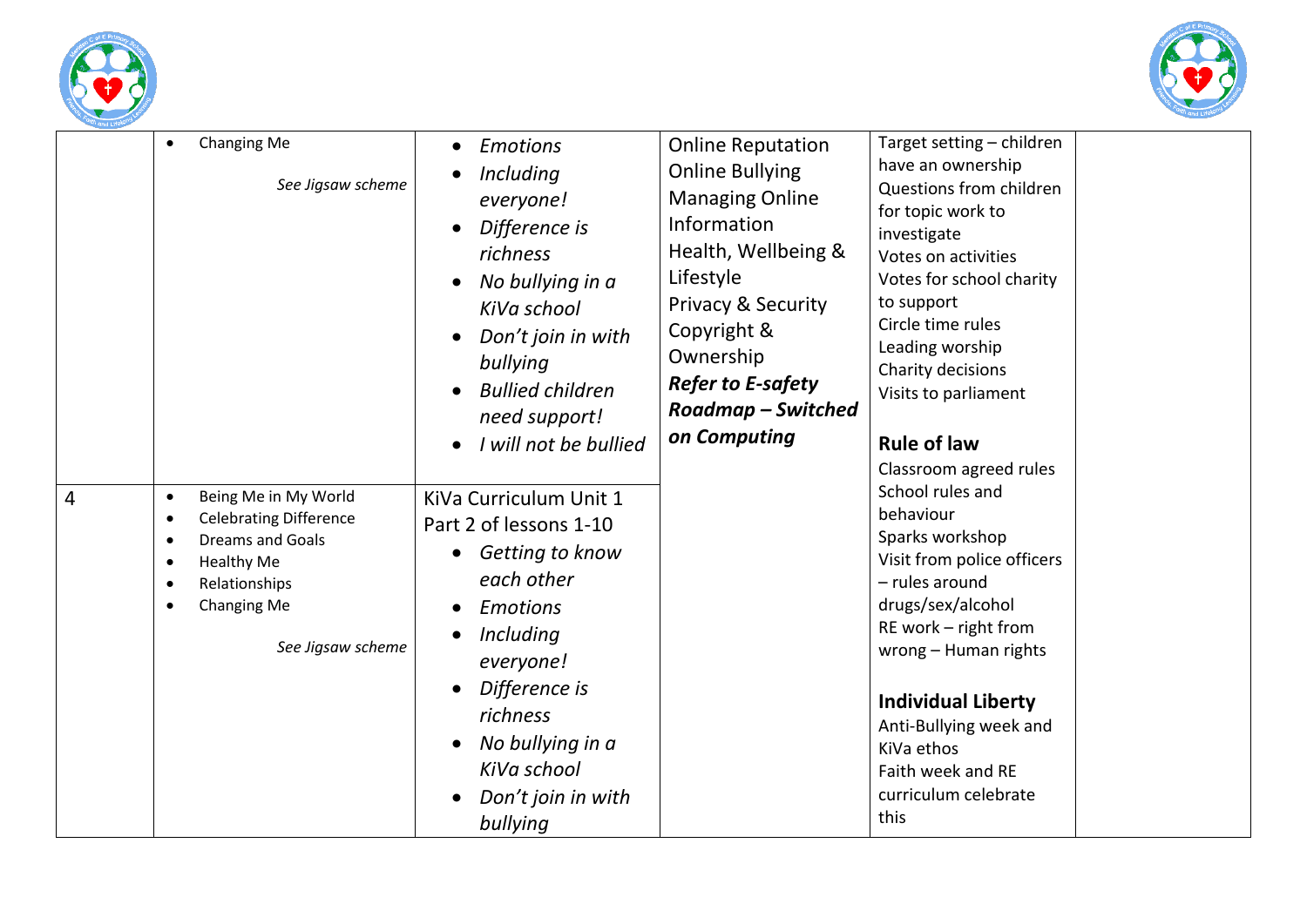



| $\overline{4}$ | Changing Me<br>$\bullet$<br>See Jigsaw scheme<br>Being Me in My World<br>$\bullet$<br><b>Celebrating Difference</b><br>$\bullet$<br><b>Dreams and Goals</b><br>$\bullet$<br><b>Healthy Me</b><br>$\bullet$<br>Relationships<br>$\bullet$<br>Changing Me<br>$\bullet$ | <b>Emotions</b><br>Including<br>everyone!<br>Difference is<br>richness<br>No bullying in a<br>KiVa school<br>Don't join in with<br>bullying<br><b>Bullied children</b><br>need support!<br>I will not be bullied<br>KiVa Curriculum Unit 1<br>Part 2 of lessons 1-10<br>Getting to know<br>each other<br><b>Emotions</b> | <b>Online Reputation</b><br><b>Online Bullying</b><br><b>Managing Online</b><br>Information<br>Health, Wellbeing &<br>Lifestyle<br><b>Privacy &amp; Security</b><br>Copyright &<br>Ownership<br><b>Refer to E-safety</b><br><b>Roadmap - Switched</b><br>on Computing | Target setting - children<br>have an ownership<br>Questions from children<br>for topic work to<br>investigate<br>Votes on activities<br>Votes for school charity<br>to support<br>Circle time rules<br>Leading worship<br>Charity decisions<br>Visits to parliament<br><b>Rule of law</b><br>Classroom agreed rules<br>School rules and<br>behaviour<br>Sparks workshop<br>Visit from police officers<br>- rules around<br>drugs/sex/alcohol |
|----------------|----------------------------------------------------------------------------------------------------------------------------------------------------------------------------------------------------------------------------------------------------------------------|--------------------------------------------------------------------------------------------------------------------------------------------------------------------------------------------------------------------------------------------------------------------------------------------------------------------------|-----------------------------------------------------------------------------------------------------------------------------------------------------------------------------------------------------------------------------------------------------------------------|----------------------------------------------------------------------------------------------------------------------------------------------------------------------------------------------------------------------------------------------------------------------------------------------------------------------------------------------------------------------------------------------------------------------------------------------|
|                | See Jigsaw scheme                                                                                                                                                                                                                                                    | Including<br>everyone!<br>Difference is<br>richness<br>No bullying in a<br>KiVa school<br>Don't join in with<br>bullying                                                                                                                                                                                                 |                                                                                                                                                                                                                                                                       | RE work - right from<br>wrong - Human rights<br><b>Individual Liberty</b><br>Anti-Bullying week and<br>KiVa ethos<br>Faith week and RE<br>curriculum celebrate<br>this                                                                                                                                                                                                                                                                       |